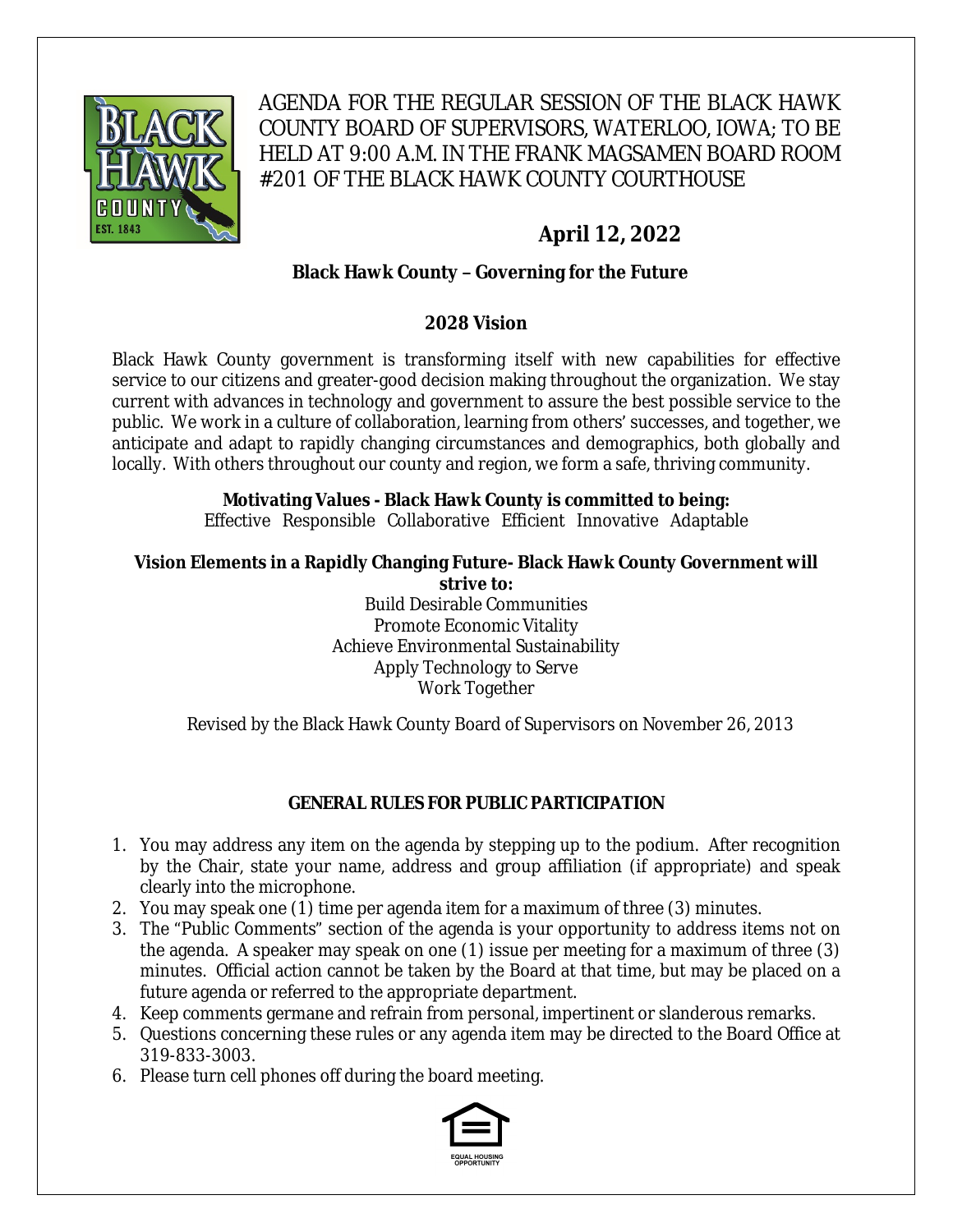

AGENDA FOR THE REGULAR SESSION OF THE BLACK HAWK COUNTY BOARD OF SUPERVISORS, WATERLOO, IOWA; TO BE HELD AT 9:00 A.M. IN THE FRANK MAGSAMEN BOARD ROOM #201 OF THE BLACK HAWK COUNTY COURTHOUSE

# **April 12, 2022**

# **Black Hawk County – Governing for the Future**

#### **2028 Vision**

Black Hawk County government is transforming itself with new capabilities for effective service to our citizens and greater-good decision making throughout the organization. We stay current with advances in technology and government to assure the best possible service to the public. We work in a culture of collaboration, learning from others' successes, and together, we anticipate and adapt to rapidly changing circumstances and demographics, both globally and locally. With others throughout our county and region, we form a safe, thriving community.

# **Motivating Values - Black Hawk County is committed to being:**

Effective Responsible Collaborative Efficient Innovative Adaptable

#### **Vision Elements in a Rapidly Changing Future- Black Hawk County Government will strive to:**

Build Desirable Communities Promote Economic Vitality Achieve Environmental Sustainability Apply Technology to Serve Work Together

Revised by the Black Hawk County Board of Supervisors on November 26, 2013

## **GENERAL RULES FOR PUBLIC PARTICIPATION**

- 1. You may address any item on the agenda by stepping up to the podium. After recognition by the Chair, state your name, address and group affiliation (if appropriate) and speak clearly into the microphone.
- 2. You may speak one (1) time per agenda item for a maximum of three (3) minutes.
- 3. The "Public Comments" section of the agenda is your opportunity to address items not on the agenda. A speaker may speak on one (1) issue per meeting for a maximum of three (3) minutes. Official action cannot be taken by the Board at that time, but may be placed on a future agenda or referred to the appropriate department.
- 4. Keep comments germane and refrain from personal, impertinent or slanderous remarks.
- 5. Questions concerning these rules or any agenda item may be directed to the Board Office at 319-833-3003.
- 6. Please turn cell phones off during the board meeting.

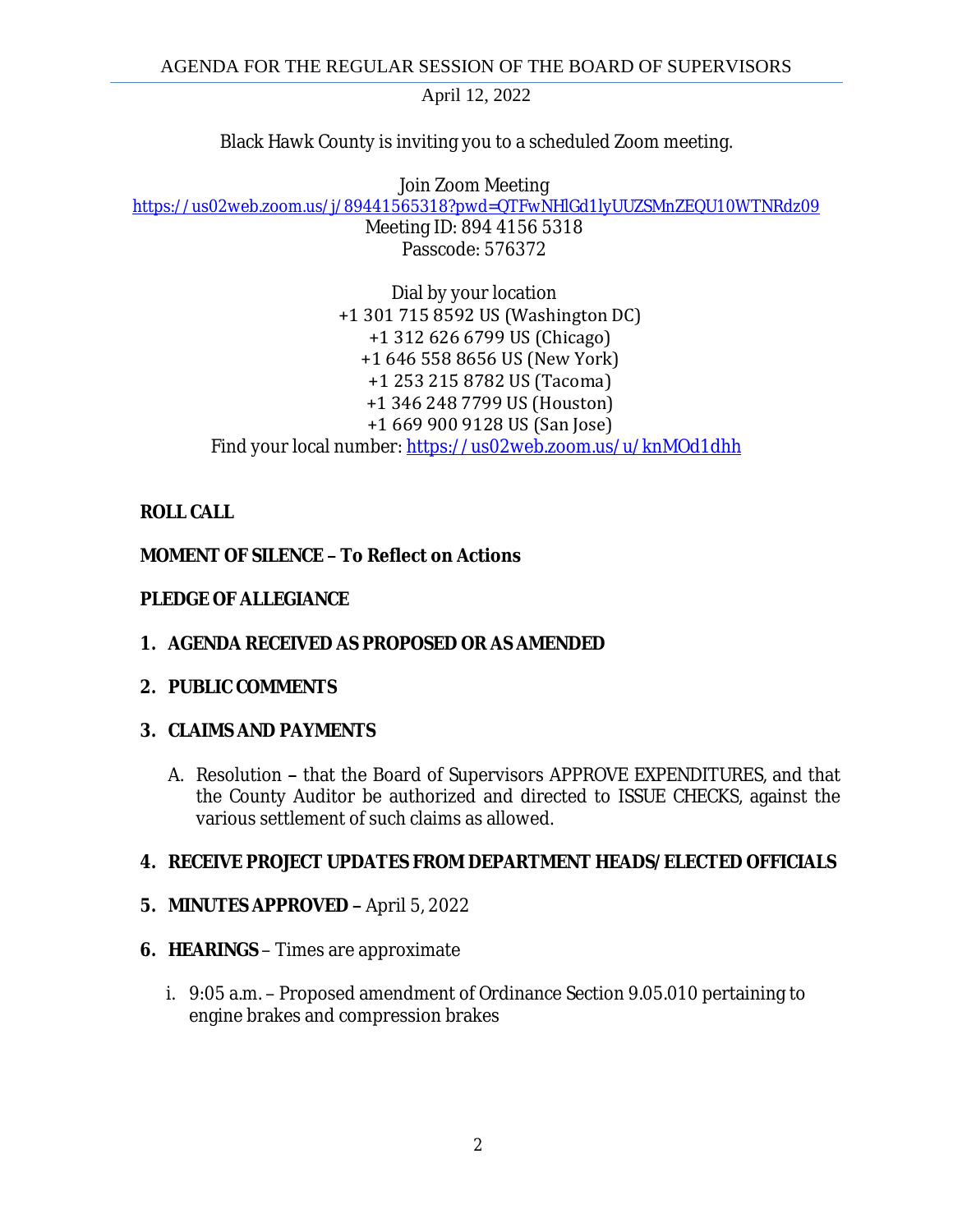Black Hawk County is inviting you to a scheduled Zoom meeting.

Join Zoom Meeting [https://us02web.zoom.us/j/89441565318?pwd=QTFwNHlGd1lyUUZSMnZEQU10WTNRdz09](https://gcc02.safelinks.protection.outlook.com/?url=https%3A%2F%2Fus02web.zoom.us%2Fj%2F89441565318%3Fpwd%3DQTFwNHlGd1lyUUZSMnZEQU10WTNRdz09&data=04%7C01%7Ckzwanziger%40blackhawkcounty.iowa.gov%7Cfb2bcfee3a7d4d6d386a08da17d73755%7C9960f5b6faae4bb3a122c43aceeaa06d%7C0%7C0%7C637848510379688607%7CUnknown%7CTWFpbGZsb3d8eyJWIjoiMC4wLjAwMDAiLCJQIjoiV2luMzIiLCJBTiI6Ik1haWwiLCJXVCI6Mn0%3D%7C3000&sdata=UCnhlUfEbFkVxz4NkUDnGE2qwVbdo16MXGoq3Jrjous%3D&reserved=0)

Meeting ID: 894 4156 5318 Passcode: 576372

Dial by your location +1 301 715 8592 US (Washington DC) +1 312 626 6799 US (Chicago) +1 646 558 8656 US (New York) +1 253 215 8782 US (Tacoma) +1 346 248 7799 US (Houston) +1 669 900 9128 US (San Jose) Find your local number: [https://us02web.zoom.us/u/knMOd1dhh](https://gcc02.safelinks.protection.outlook.com/?url=https%3A%2F%2Fus02web.zoom.us%2Fu%2FknMOd1dhh&data=04%7C01%7Ckzwanziger%40blackhawkcounty.iowa.gov%7Cfb2bcfee3a7d4d6d386a08da17d73755%7C9960f5b6faae4bb3a122c43aceeaa06d%7C0%7C0%7C637848510379688607%7CUnknown%7CTWFpbGZsb3d8eyJWIjoiMC4wLjAwMDAiLCJQIjoiV2luMzIiLCJBTiI6Ik1haWwiLCJXVCI6Mn0%3D%7C3000&sdata=GSi2ncwqblMcr7H1Zh%2FfQ7kuUCbI1lzi1ealvXvSqHA%3D&reserved=0)

# **ROLL CALL**

# **MOMENT OF SILENCE – To Reflect on Actions**

## **PLEDGE OF ALLEGIANCE**

**1. AGENDA RECEIVED AS PROPOSED OR AS AMENDED**

## **2. PUBLIC COMMENTS**

## **3. CLAIMS AND PAYMENTS**

A. Resolution **–** that the Board of Supervisors APPROVE EXPENDITURES, and that the County Auditor be authorized and directed to ISSUE CHECKS, against the various settlement of such claims as allowed.

# **4. RECEIVE PROJECT UPDATES FROM DEPARTMENT HEADS/ELECTED OFFICIALS**

- **5. MINUTES APPROVED –** April 5, 2022
- **6. HEARINGS**  Times are approximate
	- i. 9:05 a.m. Proposed amendment of Ordinance Section 9.05.010 pertaining to engine brakes and compression brakes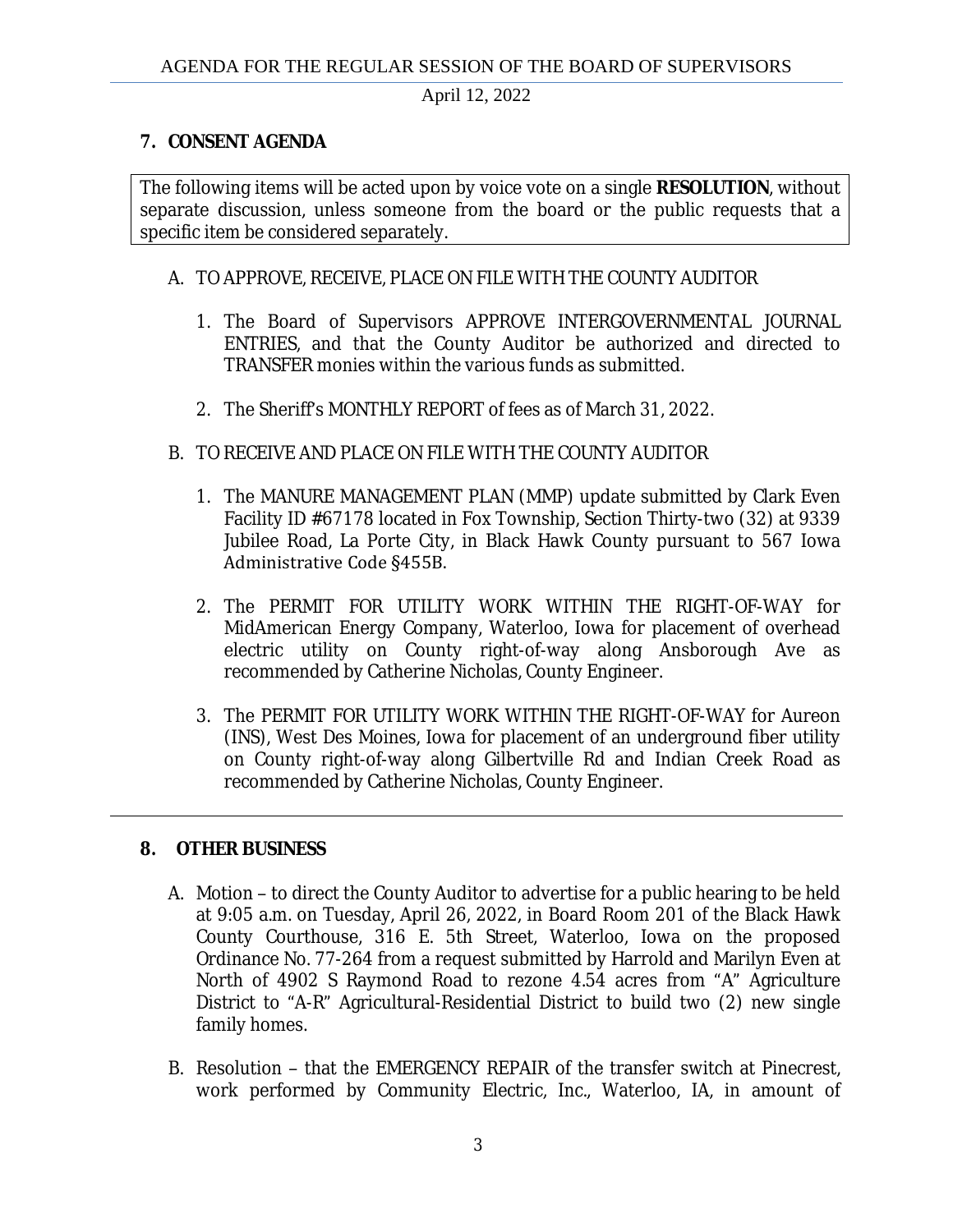#### **7. CONSENT AGENDA**

The following items will be acted upon by voice vote on a single **RESOLUTION**, without separate discussion, unless someone from the board or the public requests that a specific item be considered separately.

#### A. TO APPROVE, RECEIVE, PLACE ON FILE WITH THE COUNTY AUDITOR

- 1. The Board of Supervisors APPROVE INTERGOVERNMENTAL JOURNAL ENTRIES, and that the County Auditor be authorized and directed to TRANSFER monies within the various funds as submitted.
- 2. The Sheriff's MONTHLY REPORT of fees as of March 31, 2022.

#### B. TO RECEIVE AND PLACE ON FILE WITH THE COUNTY AUDITOR

- 1. The MANURE MANAGEMENT PLAN (MMP) update submitted by Clark Even Facility ID #67178 located in Fox Township, Section Thirty-two (32) at 9339 Jubilee Road, La Porte City, in Black Hawk County pursuant to 567 Iowa Administrative Code §455B.
- 2. The PERMIT FOR UTILITY WORK WITHIN THE RIGHT-OF-WAY for MidAmerican Energy Company, Waterloo, Iowa for placement of overhead electric utility on County right-of-way along Ansborough Ave as recommended by Catherine Nicholas, County Engineer.
- 3. The PERMIT FOR UTILITY WORK WITHIN THE RIGHT-OF-WAY for Aureon (INS), West Des Moines, Iowa for placement of an underground fiber utility on County right-of-way along Gilbertville Rd and Indian Creek Road as recommended by Catherine Nicholas, County Engineer.

#### **8. OTHER BUSINESS**

- A. Motion to direct the County Auditor to advertise for a public hearing to be held at 9:05 a.m. on Tuesday, April 26, 2022, in Board Room 201 of the Black Hawk County Courthouse, 316 E. 5th Street, Waterloo, Iowa on the proposed Ordinance No. 77-264 from a request submitted by Harrold and Marilyn Even at North of 4902 S Raymond Road to rezone 4.54 acres from "A" Agriculture District to "A-R" Agricultural-Residential District to build two (2) new single family homes.
- B. Resolution that the EMERGENCY REPAIR of the transfer switch at Pinecrest, work performed by Community Electric, Inc., Waterloo, IA, in amount of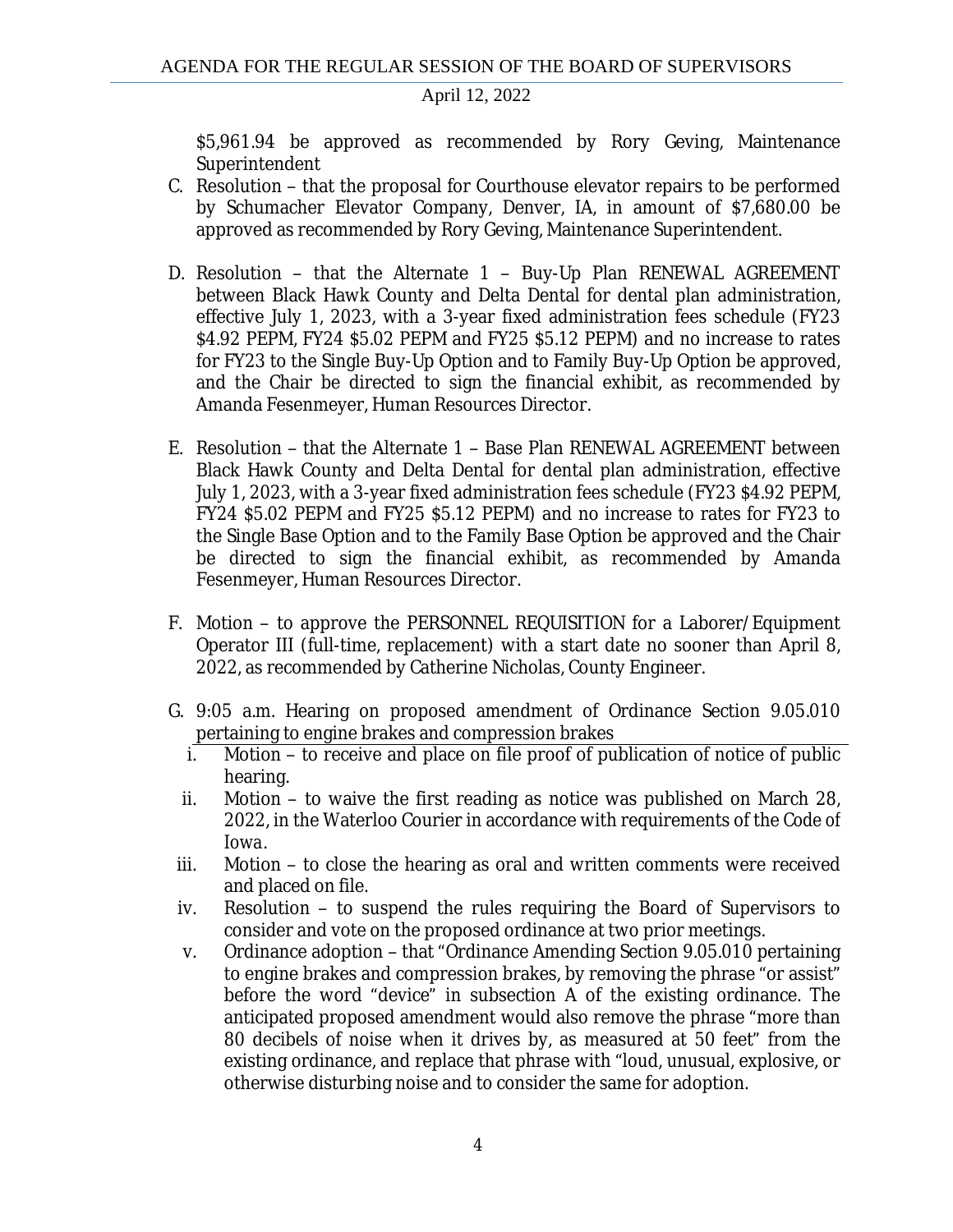\$5,961.94 be approved as recommended by Rory Geving, Maintenance Superintendent

- C. Resolution that the proposal for Courthouse elevator repairs to be performed by Schumacher Elevator Company, Denver, IA, in amount of \$7,680.00 be approved as recommended by Rory Geving, Maintenance Superintendent.
- D. Resolution that the Alternate 1 Buy-Up Plan RENEWAL AGREEMENT between Black Hawk County and Delta Dental for dental plan administration, effective July 1, 2023, with a 3-year fixed administration fees schedule (FY23 \$4.92 PEPM, FY24 \$5.02 PEPM and FY25 \$5.12 PEPM) and no increase to rates for FY23 to the Single Buy-Up Option and to Family Buy-Up Option be approved, and the Chair be directed to sign the financial exhibit, as recommended by Amanda Fesenmeyer, Human Resources Director.
- E. Resolution that the Alternate 1 Base Plan RENEWAL AGREEMENT between Black Hawk County and Delta Dental for dental plan administration, effective July 1, 2023, with a 3-year fixed administration fees schedule (FY23 \$4.92 PEPM, FY24 \$5.02 PEPM and FY25 \$5.12 PEPM) and no increase to rates for FY23 to the Single Base Option and to the Family Base Option be approved and the Chair be directed to sign the financial exhibit, as recommended by Amanda Fesenmeyer, Human Resources Director.
- F. Motion to approve the PERSONNEL REQUISITION for a Laborer/Equipment Operator III (full-time, replacement) with a start date no sooner than April 8, 2022, as recommended by Catherine Nicholas, County Engineer.
- G. 9:05 a.m. Hearing on proposed amendment of Ordinance Section 9.05.010 pertaining to engine brakes and compression brakes
	- i. Motion to receive and place on file proof of publication of notice of public hearing.
	- ii. Motion to waive the first reading as notice was published on March 28, 2022, in the Waterloo Courier in accordance with requirements of the *Code of Iowa*.
- iii. Motion to close the hearing as oral and written comments were received and placed on file.
- iv. Resolution to suspend the rules requiring the Board of Supervisors to consider and vote on the proposed ordinance at two prior meetings.
- v. Ordinance adoption that "Ordinance Amending Section 9.05.010 pertaining to engine brakes and compression brakes, by removing the phrase "or assist" before the word "device" in subsection A of the existing ordinance. The anticipated proposed amendment would also remove the phrase "more than 80 decibels of noise when it drives by, as measured at 50 feet" from the existing ordinance, and replace that phrase with "loud, unusual, explosive, or otherwise disturbing noise and to consider the same for adoption.